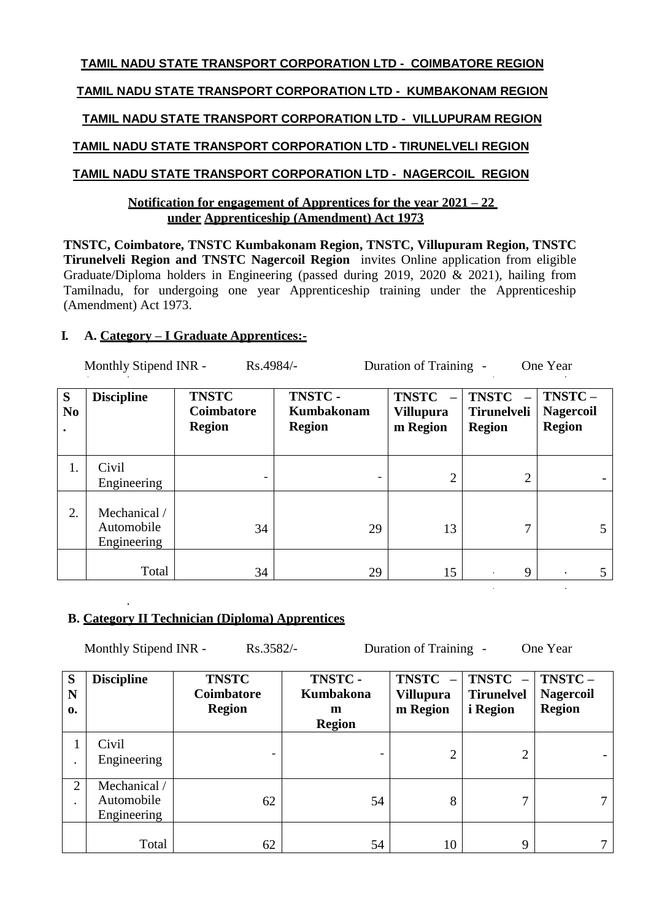# **TAMIL NADU STATE TRANSPORT CORPORATION LTD - COIMBATORE REGION**

# **TAMIL NADU STATE TRANSPORT CORPORATION LTD - KUMBAKONAM REGION**

# **TAMIL NADU STATE TRANSPORT CORPORATION LTD - VILLUPURAM REGION**

# **TAMIL NADU STATE TRANSPORT CORPORATION LTD - TIRUNELVELI REGION**

# **TAMIL NADU STATE TRANSPORT CORPORATION LTD - NAGERCOIL REGION**

### **Notification for engagement of Apprentices for the year 2021 – 22 under Apprenticeship (Amendment) Act 1973**

**TNSTC, Coimbatore, TNSTC Kumbakonam Region, TNSTC, Villupuram Region, TNSTC Tirunelveli Region and TNSTC Nagercoil Region** invites Online application from eligible Graduate/Diploma holders in Engineering (passed during 2019, 2020 & 2021), hailing from Tamilnadu, for undergoing one year Apprenticeship training under the Apprenticeship (Amendment) Act 1973.

# **I. A. Category – I Graduate Apprentices:-**

| Monthly Stipend INR -<br>Rs.4984/-<br>Duration of Training -<br>One Year |                                           |                                             |                                              |                                              |                                                     |                                             |
|--------------------------------------------------------------------------|-------------------------------------------|---------------------------------------------|----------------------------------------------|----------------------------------------------|-----------------------------------------------------|---------------------------------------------|
| S<br>N <sub>0</sub><br>$\bullet$                                         | <b>Discipline</b>                         | <b>TNSTC</b><br>Coimbatore<br><b>Region</b> | TNSTC-<br><b>Kumbakonam</b><br><b>Region</b> | <b>TNSTC</b><br><b>Villupura</b><br>m Region | <b>TNSTC</b><br><b>Tirunelveli</b><br><b>Region</b> | TNSTC-<br><b>Nagercoil</b><br><b>Region</b> |
| 1.                                                                       | Civil<br>Engineering                      |                                             |                                              | $\overline{2}$                               | 2                                                   |                                             |
| 2.                                                                       | Mechanical /<br>Automobile<br>Engineering | 34                                          | 29                                           | 13                                           | 7                                                   | 5                                           |
|                                                                          | Total                                     | 34                                          | 29                                           | 15                                           | 9<br>$\mathbf{r}$                                   | 5<br>$\bullet$                              |

# **B. Category II Technician (Diploma) Apprentices**

Monthly Stipend INR - Rs.3582/- Duration of Training - One Year

| S<br>N<br>$\mathbf{0}$ | <b>Discipline</b>                         | <b>TNSTC</b><br>Coimbatore<br><b>Region</b> | TNSTC-<br>Kumbakona<br>m<br><b>Region</b> | <b>TNSTC</b><br><b>Villupura</b><br>m Region | <b>TNSTC</b><br><b>Tirunelvel</b><br><i>i</i> Region | TNSTC-<br><b>Nagercoil</b><br><b>Region</b> |
|------------------------|-------------------------------------------|---------------------------------------------|-------------------------------------------|----------------------------------------------|------------------------------------------------------|---------------------------------------------|
|                        | Civil<br>Engineering                      |                                             |                                           | 2                                            | $\overline{2}$                                       |                                             |
| $\overline{2}$         | Mechanical /<br>Automobile<br>Engineering | 62                                          | 54                                        | 8                                            | $\mathbf{r}$                                         |                                             |
|                        | Total                                     | 62                                          | 54                                        | 10                                           | 9                                                    |                                             |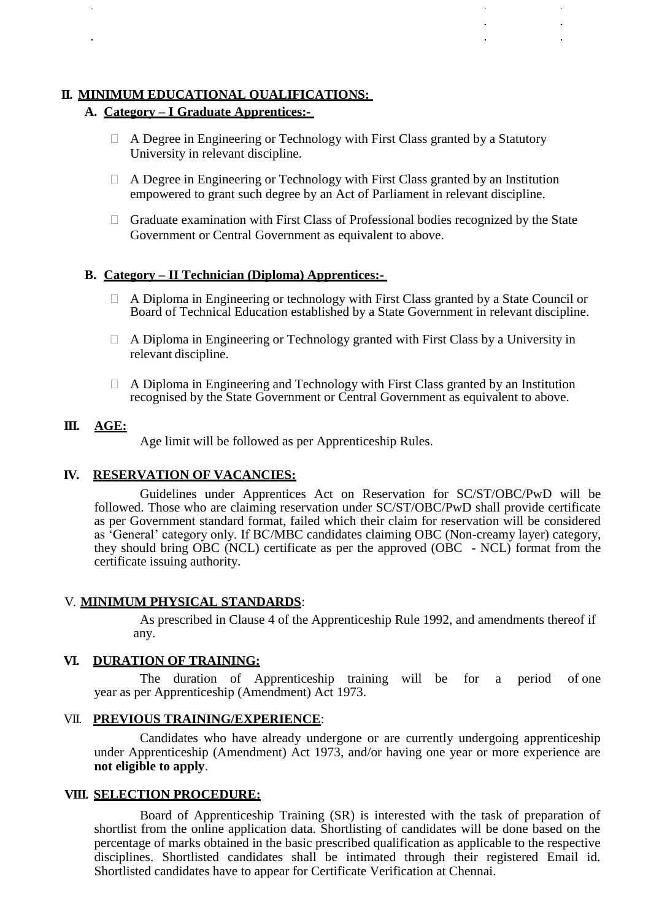### **II. MINIMUM EDUCATIONAL QUALIFICATIONS:**

#### **A. Category – I Graduate Apprentices:-**

- A Degree in Engineering or Technology with First Class granted by a Statutory University in relevant discipline.
- $\Box$  A Degree in Engineering or Technology with First Class granted by an Institution empowered to grant such degree by an Act of Parliament in relevant discipline.
- $\Box$  Graduate examination with First Class of Professional bodies recognized by the State Government or Central Government as equivalent to above.

#### **B. Category – II Technician (Diploma) Apprentices:-**

- A Diploma in Engineering or technology with First Class granted by a State Council or Board of Technical Education established by a State Government in relevant discipline.
- $\Box$  A Diploma in Engineering or Technology granted with First Class by a University in relevant discipline.
- $\Box$  A Diploma in Engineering and Technology with First Class granted by an Institution recognised by the State Government or Central Government as equivalent to above.

#### **III. AGE:**

Age limit will be followed as per Apprenticeship Rules.

#### **IV. RESERVATION OF VACANCIES:**

Guidelines under Apprentices Act on Reservation for SC/ST/OBC/PwD will be followed. Those who are claiming reservation under SC/ST/OBC/PwD shall provide certificate as per Government standard format, failed which their claim for reservation will be considered as 'General' category only. If BC/MBC candidates claiming OBC (Non-creamy layer) category, they should bring OBC (NCL) certificate as per the approved (OBC - NCL) format from the certificate issuing authority.

#### V. **MINIMUM PHYSICAL STANDARDS**:

As prescribed in Clause 4 of the Apprenticeship Rule 1992, and amendments thereof if any.

#### **VI. DURATION OF TRAINING:**

The duration of Apprenticeship training will be for a period of one year as per Apprenticeship (Amendment) Act 1973.

#### VII. **PREVIOUS TRAINING/EXPERIENCE**:

Candidates who have already undergone or are currently undergoing apprenticeship under Apprenticeship (Amendment) Act 1973, and/or having one year or more experience are **not eligible to apply**.

#### **VIII. SELECTION PROCEDURE:**

Board of Apprenticeship Training (SR) is interested with the task of preparation of shortlist from the online application data. Shortlisting of candidates will be done based on the percentage of marks obtained in the basic prescribed qualification as applicable to the respective disciplines. Shortlisted candidates shall be intimated through their registered Email id. Shortlisted candidates have to appear for Certificate Verification at Chennai.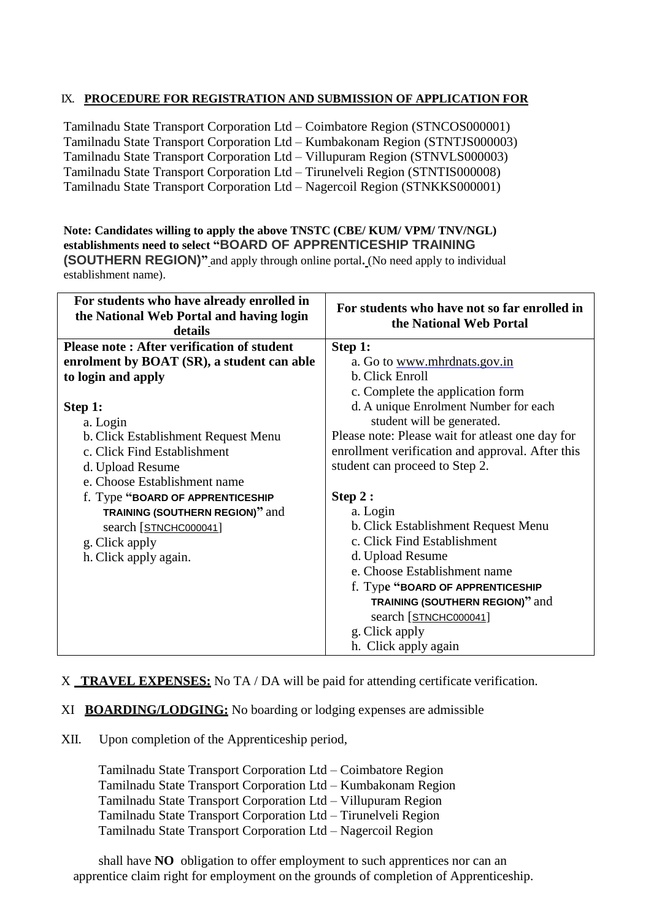### IX. **PROCEDURE FOR REGISTRATION AND SUBMISSION OF APPLICATION FOR**

Tamilnadu State Transport Corporation Ltd – Coimbatore Region (STNCOS000001) Tamilnadu State Transport Corporation Ltd – Kumbakonam Region (STNTJS000003) Tamilnadu State Transport Corporation Ltd – Villupuram Region (STNVLS000003) Tamilnadu State Transport Corporation Ltd – Tirunelveli Region (STNTIS000008) Tamilnadu State Transport Corporation Ltd – Nagercoil Region (STNKKS000001)

**Note: Candidates willing to apply the above TNSTC (CBE/ KUM/ VPM/ TNV/NGL) establishments need to select "BOARD OF APPRENTICESHIP TRAINING (SOUTHERN REGION)"** and apply through online portal**.** (No need apply to individual establishment name).

| For students who have already enrolled in<br>the National Web Portal and having login<br>details | For students who have not so far enrolled in<br>the National Web Portal |
|--------------------------------------------------------------------------------------------------|-------------------------------------------------------------------------|
| <b>Please note: After verification of student</b>                                                | Step 1:                                                                 |
| enrolment by BOAT (SR), a student can able                                                       | a. Go to www.mhrdnats.gov.in                                            |
| to login and apply                                                                               | b. Click Enroll                                                         |
|                                                                                                  | c. Complete the application form                                        |
| Step 1:                                                                                          | d. A unique Enrolment Number for each                                   |
| a. Login                                                                                         | student will be generated.                                              |
| b. Click Establishment Request Menu                                                              | Please note: Please wait for atleast one day for                        |
| c. Click Find Establishment                                                                      | enrollment verification and approval. After this                        |
| d. Upload Resume                                                                                 | student can proceed to Step 2.                                          |
| e. Choose Establishment name                                                                     |                                                                         |
| f. Type "BOARD OF APPRENTICESHIP                                                                 | Step 2:                                                                 |
| TRAINING (SOUTHERN REGION)" and                                                                  | a. Login                                                                |
| search [STNCHC000041]                                                                            | b. Click Establishment Request Menu                                     |
| g. Click apply                                                                                   | c. Click Find Establishment                                             |
| h. Click apply again.                                                                            | d. Upload Resume                                                        |
|                                                                                                  | e. Choose Establishment name                                            |
|                                                                                                  | f. Type "BOARD OF APPRENTICESHIP                                        |
|                                                                                                  | <b>TRAINING (SOUTHERN REGION)" and</b>                                  |
|                                                                                                  | search [STNCHC000041]                                                   |
|                                                                                                  | g. Click apply                                                          |
|                                                                                                  | h. Click apply again                                                    |

#### X **TRAVEL EXPENSES:** No TA / DA will be paid for attending certificate verification.

- XI **BOARDING/LODGING:** No boarding or lodging expenses are admissible
- XII. Upon completion of the Apprenticeship period,

Tamilnadu State Transport Corporation Ltd – Coimbatore Region Tamilnadu State Transport Corporation Ltd – Kumbakonam Region Tamilnadu State Transport Corporation Ltd – Villupuram Region Tamilnadu State Transport Corporation Ltd – Tirunelveli Region Tamilnadu State Transport Corporation Ltd – Nagercoil Region

shall have **NO** obligation to offer employment to such apprentices nor can an apprentice claim right for employment on the grounds of completion of Apprenticeship.